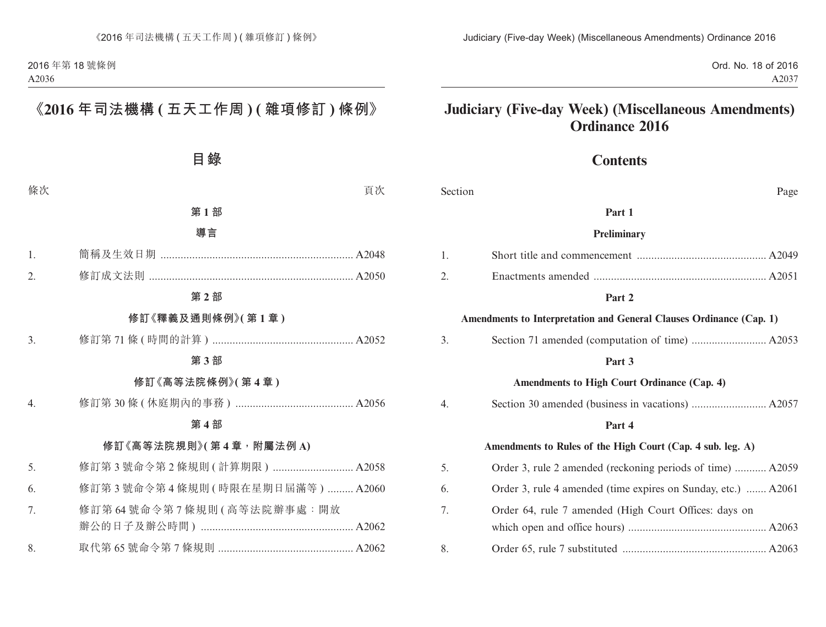Ord. No. 18 of 2016 A2037

# **Judiciary (Five-day Week) (Miscellaneous Amendments) Ordinance 2016**

# **Contents**

| Section                                     | Page                                                                |  |
|---------------------------------------------|---------------------------------------------------------------------|--|
|                                             | Part 1                                                              |  |
|                                             | Preliminary                                                         |  |
| 1.                                          |                                                                     |  |
| 2.                                          |                                                                     |  |
|                                             | Part 2                                                              |  |
|                                             | Amendments to Interpretation and General Clauses Ordinance (Cap. 1) |  |
| 3.                                          |                                                                     |  |
|                                             | Part 3                                                              |  |
| Amendments to High Court Ordinance (Cap. 4) |                                                                     |  |
| 4.                                          |                                                                     |  |
|                                             | Part 4                                                              |  |
|                                             | Amendments to Rules of the High Court (Cap. 4 sub. leg. A)          |  |
| 5.                                          | Order 3, rule 2 amended (reckoning periods of time)  A2059          |  |
| 6.                                          | Order 3, rule 4 amended (time expires on Sunday, etc.)  A2061       |  |
| 7.                                          | Order 64, rule 7 amended (High Court Offices: days on               |  |
|                                             |                                                                     |  |
| 8.                                          |                                                                     |  |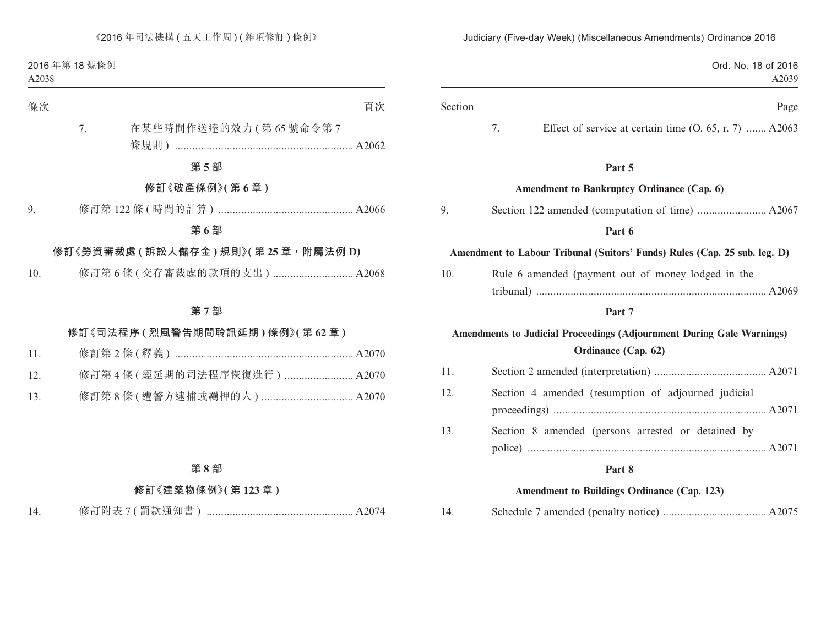| Ord. No. 18 of 2016<br>A2039                                                                        |         |
|-----------------------------------------------------------------------------------------------------|---------|
| Page                                                                                                | Section |
| 7.<br>Effect of service at certain time $(0, 65, r, 7)$ A2063                                       |         |
| Part 5                                                                                              |         |
| Amendment to Bankruptcy Ordinance (Cap. 6)                                                          |         |
|                                                                                                     |         |
| Part 6                                                                                              |         |
| Amendment to Labour Tribunal (Suitors' Funds) Rules (Cap. 25 sub. leg. D)                           |         |
| Rule 6 amended (payment out of money lodged in the                                                  |         |
|                                                                                                     |         |
| Part 7                                                                                              |         |
| <b>Amendments to Judicial Proceedings (Adjournment During Gale Warnings)</b><br>Ordinance (Cap. 62) |         |
|                                                                                                     |         |
| Section 4 amended (resumption of adjourned judicial                                                 |         |
| Section 8 amended (persons arrested or detained by                                                  |         |
|                                                                                                     |         |
| Part 8                                                                                              |         |
| <b>Amendment to Buildings Ordinance (Cap. 123)</b>                                                  |         |

| 14. |
|-----|
|-----|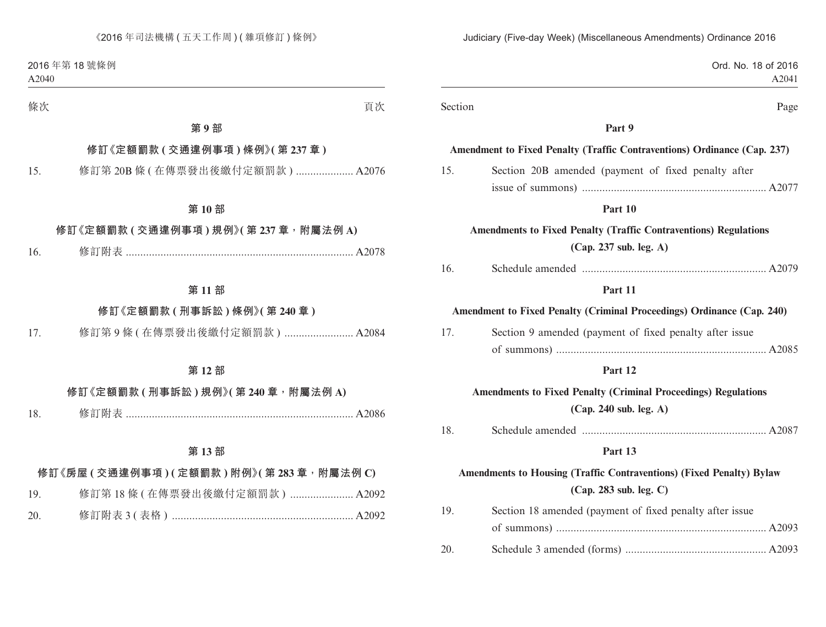| Judiciary (Five-day Week) (Miscellaneous Amendments) Ordinance 2016                             |         |
|-------------------------------------------------------------------------------------------------|---------|
| Ord. No. 18 of 2016<br>A2041                                                                    |         |
| Page                                                                                            | Section |
| Part 9                                                                                          |         |
| Amendment to Fixed Penalty (Traffic Contraventions) Ordinance (Cap. 237)                        |         |
| Section 20B amended (payment of fixed penalty after                                             | 15.     |
|                                                                                                 |         |
| Part 10                                                                                         |         |
| <b>Amendments to Fixed Penalty (Traffic Contraventions) Regulations</b>                         |         |
| (Cap. 237 sub. leg. A)                                                                          |         |
|                                                                                                 | 16.     |
| Part 11                                                                                         |         |
| Amendment to Fixed Penalty (Criminal Proceedings) Ordinance (Cap. 240)                          |         |
| Section 9 amended (payment of fixed penalty after issue                                         | 17.     |
|                                                                                                 |         |
| Part 12                                                                                         |         |
| <b>Amendments to Fixed Penalty (Criminal Proceedings) Regulations</b><br>(Cap. 240 sub. leg. A) |         |
|                                                                                                 | 18.     |
| Part 13                                                                                         |         |
| Amendments to Housing (Traffic Contraventions) (Fixed Penalty) Bylaw                            |         |
| (Cap. 283 sub. leg. C)                                                                          |         |
| Section 18 amended (payment of fixed penalty after issue                                        | 19.     |
|                                                                                                 |         |
|                                                                                                 | 20.     |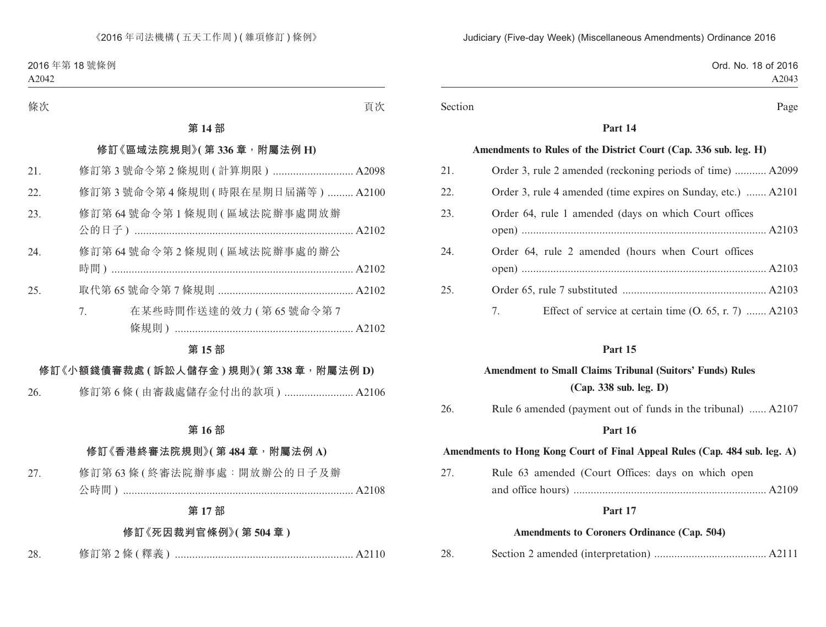| Ord. No. 18 of 2016 |
|---------------------|
| A2043               |
|                     |

#### Section Page

### **Part 14**

#### **Amendments to Rules of the District Court (Cap. 336 sub. leg. H)**

| 21. | Order 3, rule 2 amended (reckoning periods of time)  A2099    |
|-----|---------------------------------------------------------------|
| 22. | Order 3, rule 4 amended (time expires on Sunday, etc.)  A2101 |
| 23. | Order 64, rule 1 amended (days on which Court offices         |
| 24. | Order 64, rule 2 amended (hours when Court offices            |
| 25. |                                                               |
|     | Effect of service at certain time $(0, 65, r, 7)$ A2103<br>7. |

### **Part 15**

| <b>Amendment to Small Claims Tribunal (Suitors' Funds) Rules</b>           |                                                              |  |
|----------------------------------------------------------------------------|--------------------------------------------------------------|--|
|                                                                            | (Cap. 338 sub. leg. D)                                       |  |
| 26.                                                                        | Rule 6 amended (payment out of funds in the tribunal)  A2107 |  |
|                                                                            | Part 16                                                      |  |
| Amendments to Hong Kong Court of Final Appeal Rules (Cap. 484 sub. leg. A) |                                                              |  |
| 27.                                                                        | Rule 63 amended (Court Offices: days on which open           |  |
|                                                                            |                                                              |  |
| Part 17                                                                    |                                                              |  |
| Amendments to Coroners Ordinance (Cap. 504)                                |                                                              |  |

28. Section 2 amended (interpretation) ....................................... A2111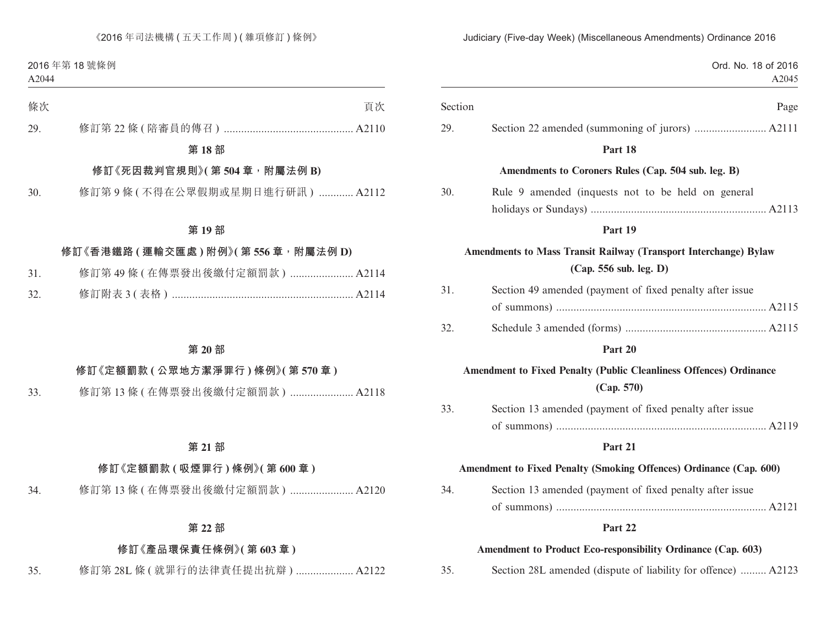Ord. No. 18 of 2016 A2045 Section Page 29. Section 22 amended (summoning of jurors) ......................... A2111 **Part 18 Amendments to Coroners Rules (Cap. 504 sub. leg. B)** 30. Rule 9 amended (inquests not to be held on general holidays or Sundays) ............................................................. A2113 **Part 19 Amendments to Mass Transit Railway (Transport Interchange) Bylaw (Cap. 556 sub. leg. D)** 31. Section 49 amended (payment of fixed penalty after issue of summons) ......................................................................... A2115 32. Schedule 3 amended (forms) ................................................. A2115 **Part 20 Amendment to Fixed Penalty (Public Cleanliness Offences) Ordinance (Cap. 570)** 33. Section 13 amended (payment of fixed penalty after issue of summons) ......................................................................... A2119 **Part 21 Amendment to Fixed Penalty (Smoking Offences) Ordinance (Cap. 600)** 34. Section 13 amended (payment of fixed penalty after issue of summons) ......................................................................... A2121 **Part 22 Amendment to Product Eco-responsibility Ordinance (Cap. 603)** 35. Section 28L amended (dispute of liability for offence) ......... A2123

Judiciary (Five-day Week) (Miscellaneous Amendments) Ordinance 2016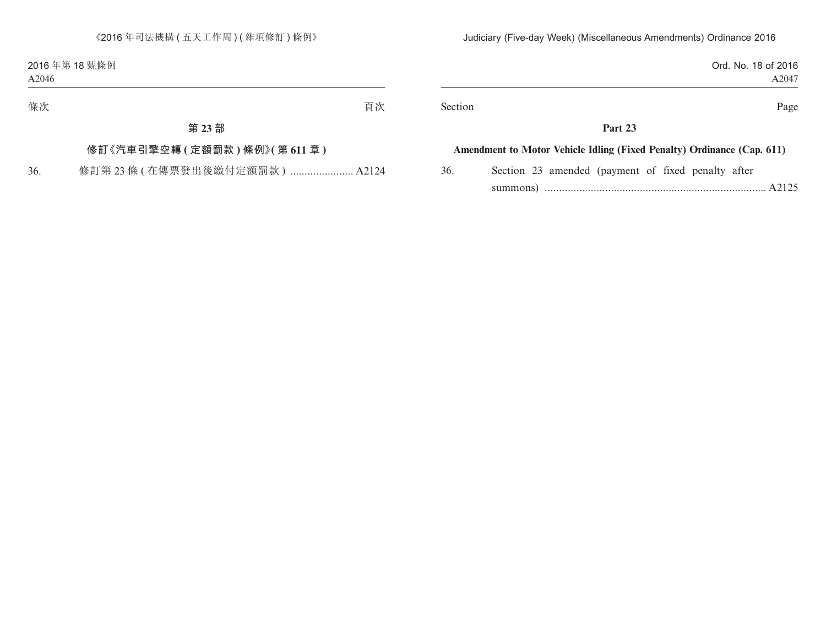| Ord. No. 18 of 2016 |
|---------------------|
| A2047               |
|                     |

Section Page

### **Part 23**

#### **Amendment to Motor Vehicle Idling (Fixed Penalty) Ordinance (Cap. 611)**

36. Section 23 amended (payment of fixed penalty after summons) ............................................................................. A2125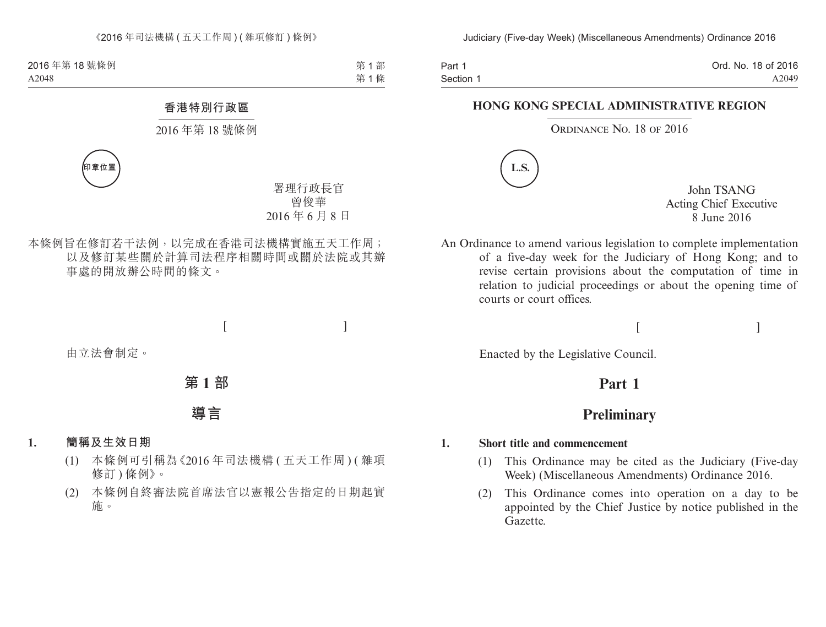Part 1 Section 1 Ord. No. 18 of 2016 A2049

#### **HONG KONG SPECIAL ADMINISTRATIVE REGION**

#### ORDINANCE NO. 18 OF 2016



John TSANG Acting Chief Executive 8 June 2016

An Ordinance to amend various legislation to complete implementation of a five-day week for the Judiciary of Hong Kong; and to revise certain provisions about the computation of time in relation to judicial proceedings or about the opening time of courts or court offices.

### $[$

Enacted by the Legislative Council.

# **Part 1**

### **Preliminary**

#### **1. Short title and commencement**

- (1) This Ordinance may be cited as the Judiciary (Five-day Week) (Miscellaneous Amendments) Ordinance 2016.
- (2) This Ordinance comes into operation on a day to be appointed by the Chief Justice by notice published in the Gazette.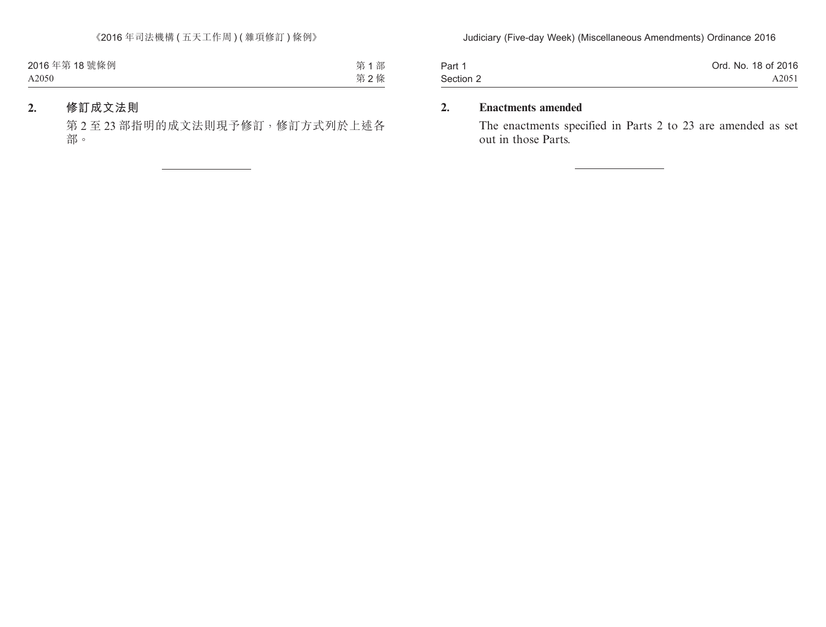| Part 1    | Ord. No. 18 of 2016 |
|-----------|---------------------|
| Section 2 | A2051               |

### **2. Enactments amended**

The enactments specified in Parts 2 to 23 are amended as set out in those Parts.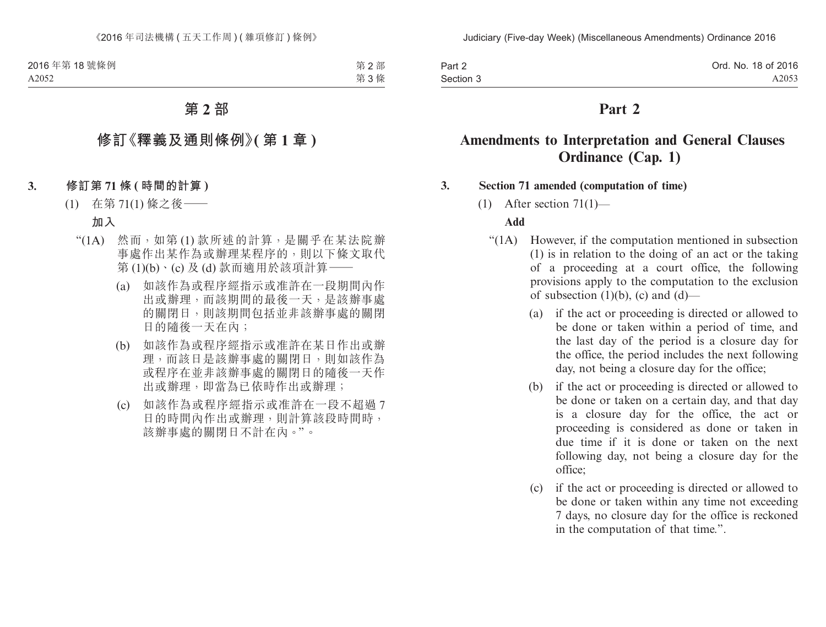| Part 2    | Ord. No. 18 of 2016 |
|-----------|---------------------|
| Section 3 | A2053               |

# **Amendments to Interpretation and General Clauses Ordinance (Cap. 1)**

### **3. Section 71 amended (computation of time)**

(1) After section  $71(1)$ —

#### **Add**

- "(1A) However, if the computation mentioned in subsection (1) is in relation to the doing of an act or the taking of a proceeding at a court office, the following provisions apply to the computation to the exclusion of subsection  $(1)(b)$ ,  $(c)$  and  $(d)$ —
	- (a) if the act or proceeding is directed or allowed to be done or taken within a period of time, and the last day of the period is a closure day for the office, the period includes the next following day, not being a closure day for the office;
	- (b) if the act or proceeding is directed or allowed to be done or taken on a certain day, and that day is a closure day for the office, the act or proceeding is considered as done or taken in due time if it is done or taken on the next following day, not being a closure day for the office;
	- (c) if the act or proceeding is directed or allowed to be done or taken within any time not exceeding 7 days, no closure day for the office is reckoned in the computation of that time.".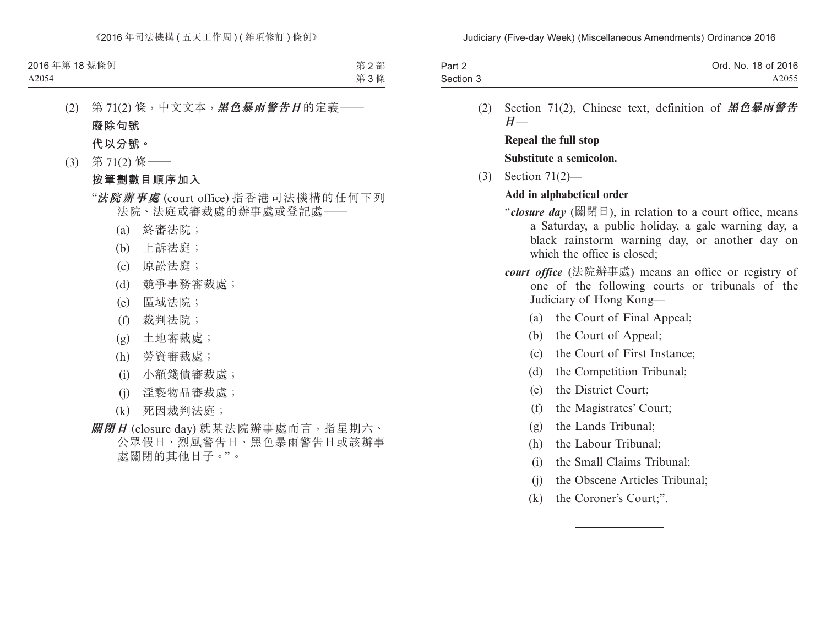| Part 2    | Ord. No. 18 of 2016 |
|-----------|---------------------|
| Section 3 | A2055               |

(2) Section 71(2), Chinese text, definition of **黑色暴雨警告 日**—

**Repeal the full stop Substitute a semicolon.**

(3) Section 71(2)—

### **Add in alphabetical order**

- "*closure day* (關閉日), in relation to a court office, means a Saturday, a public holiday, a gale warning day, a black rainstorm warning day, or another day on which the office is closed:
- *court office* (法院辦事處) means an office or registry of one of the following courts or tribunals of the Judiciary of Hong Kong—
	- (a) the Court of Final Appeal;
	- (b) the Court of Appeal;
	- (c) the Court of First Instance;
	- (d) the Competition Tribunal;
	- (e) the District Court;
	- (f) the Magistrates' Court;
	- (g) the Lands Tribunal;
	- (h) the Labour Tribunal;
	- (i) the Small Claims Tribunal;
	- (j) the Obscene Articles Tribunal;
	- (k) the Coroner's Court;".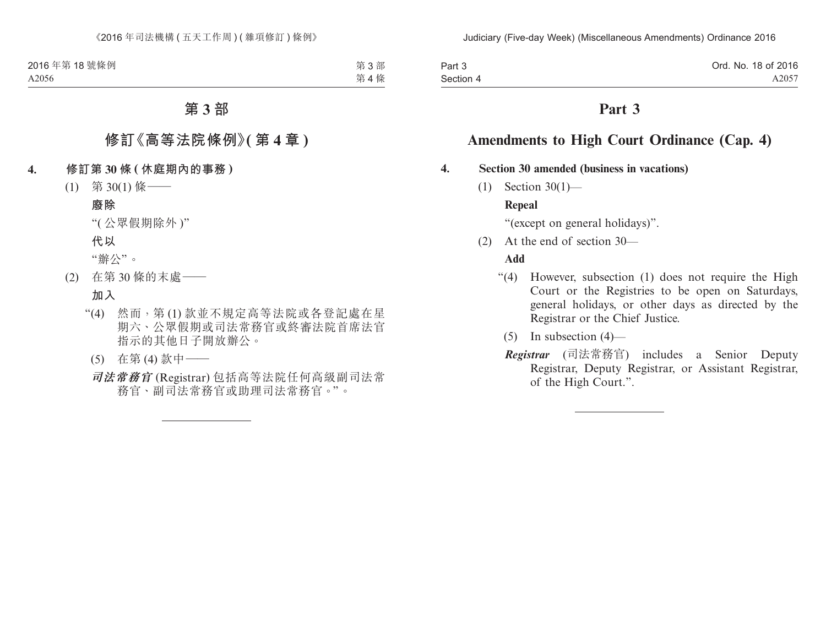| Part 3    | Ord. No. 18 of 2016 |
|-----------|---------------------|
| Section 4 | A2057               |

# **Amendments to High Court Ordinance (Cap. 4)**

### **4. Section 30 amended (business in vacations)**

(1) Section 30(1)—

### **Repeal**

"(except on general holidays)".

(2) At the end of section 30—

### **Add**

- "(4) However, subsection (1) does not require the High Court or the Registries to be open on Saturdays, general holidays, or other days as directed by the Registrar or the Chief Justice.
	- $(5)$  In subsection  $(4)$ —
	- *Registrar* (司法常務官) includes a Senior Deputy Registrar, Deputy Registrar, or Assistant Registrar, of the High Court.".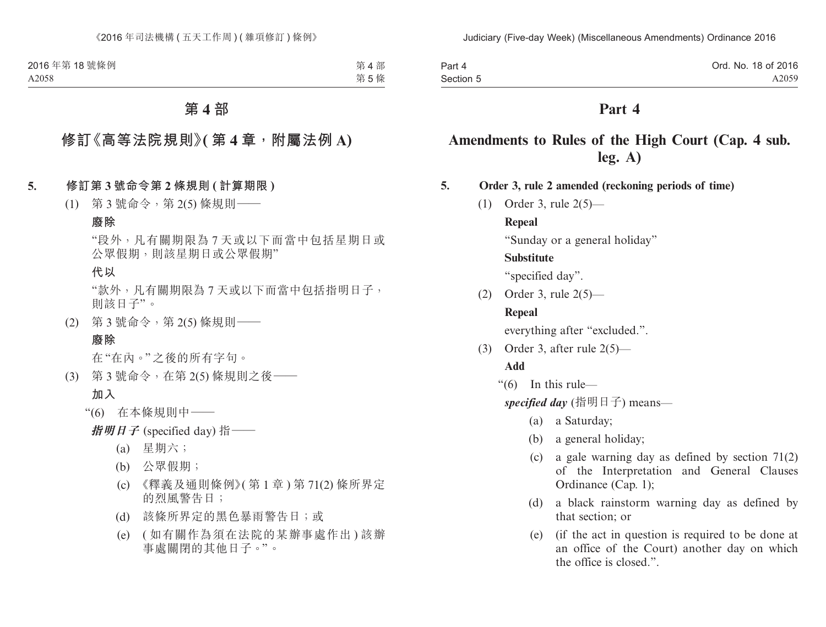| Part 4    | Ord. No. 18 of 2016 |
|-----------|---------------------|
| Section 5 | A2059               |

# **Amendments to Rules of the High Court (Cap. 4 sub. leg. A)**

- **5. Order 3, rule 2 amended (reckoning periods of time)**
	- (1) Order 3, rule 2(5)—

#### **Repeal**

"Sunday or a general holiday"

#### **Substitute**

"specified day".

(2) Order 3, rule 2(5)—

### **Repeal**

everything after "excluded.".

(3) Order 3, after rule 2(5)—

### **Add**

"(6) In this rule—

*specified day* (指明日子) means—

- (a) a Saturday;
- (b) a general holiday;
- (c) a gale warning day as defined by section 71(2) of the Interpretation and General Clauses Ordinance (Cap. 1);
- (d) a black rainstorm warning day as defined by that section; or
- (e) (if the act in question is required to be done at an office of the Court) another day on which the office is closed.".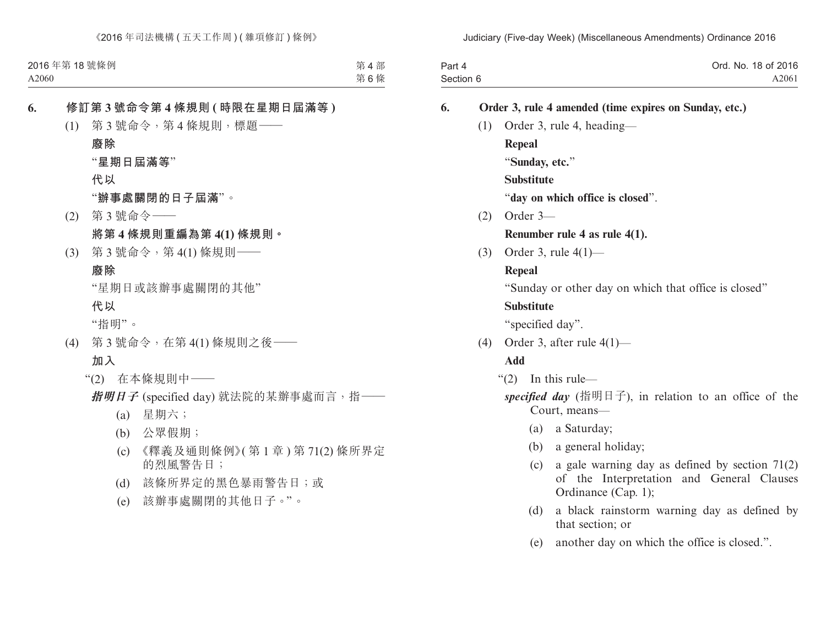| Part 4    | Ord. No. 18 of 2016 |
|-----------|---------------------|
| Section 6 | A2061               |

# **6. Order 3, rule 4 amended (time expires on Sunday, etc.)** (1) Order 3, rule 4, heading— **Repeal** "**Sunday, etc.**" **Substitute** "**day on which office is closed**". (2) Order 3— **Renumber rule 4 as rule 4(1).** (3) Order 3, rule 4(1)— **Repeal** "Sunday or other day on which that office is closed" **Substitute** "specified day". (4) Order 3, after rule 4(1)— **Add** "(2) In this rule *specified day* (指明日子), in relation to an office of the Court, means— (a) a Saturday; (b) a general holiday; (c) a gale warning day as defined by section 71(2) of the Interpretation and General Clauses Ordinance (Cap. 1); (d) a black rainstorm warning day as defined by

(e) another day on which the office is closed.".

that section; or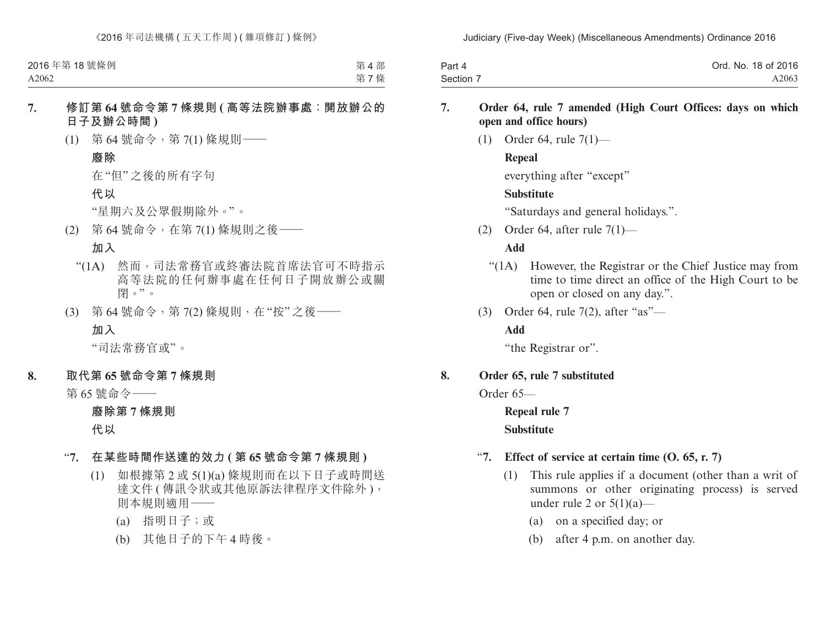| Part 4    | Ord. No. 18 of 2016 |
|-----------|---------------------|
| Section 7 | A2063               |

- **7. Order 64, rule 7 amended (High Court Offices: days on which open and office hours)**
	- (1) Order 64, rule 7(1)—

### **Repeal**

everything after "except"

### **Substitute**

"Saturdays and general holidays.".

(2) Order 64, after rule 7(1)—

### **Add**

- "(1A) However, the Registrar or the Chief Justice may from time to time direct an office of the High Court to be open or closed on any day.".
- (3) Order 64, rule 7(2), after "as"—

### **Add**

"the Registrar or".

#### **8. Order 65, rule 7 substituted**

Order 65—

**Repeal rule 7 Substitute**

### "**7. Effect of service at certain time (O. 65, r. 7)**

- (1) This rule applies if a document (other than a writ of summons or other originating process) is served under rule 2 or  $5(1)(a)$ —
	- (a) on a specified day; or
	- (b) after 4 p.m. on another day.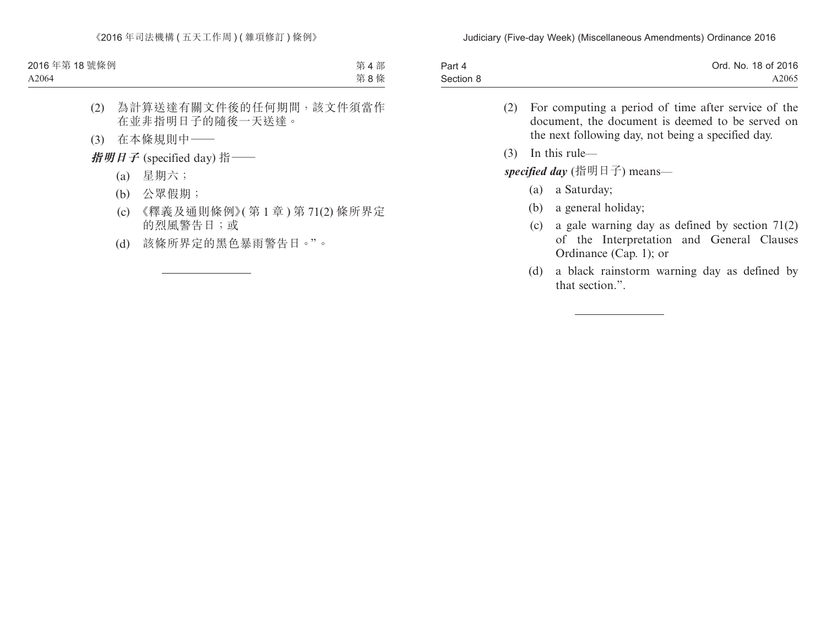| Part 4    | Ord. No. 18 of 2016 |
|-----------|---------------------|
| Section 8 | A2065               |

- (2) For computing a period of time after service of the document, the document is deemed to be served on the next following day, not being a specified day.
- (3) In this rule—

*specified day* (指明日子) means—

- (a) a Saturday;
- (b) a general holiday;
- (c) a gale warning day as defined by section 71(2) of the Interpretation and General Clauses Ordinance (Cap. 1); or
- (d) a black rainstorm warning day as defined by that section.".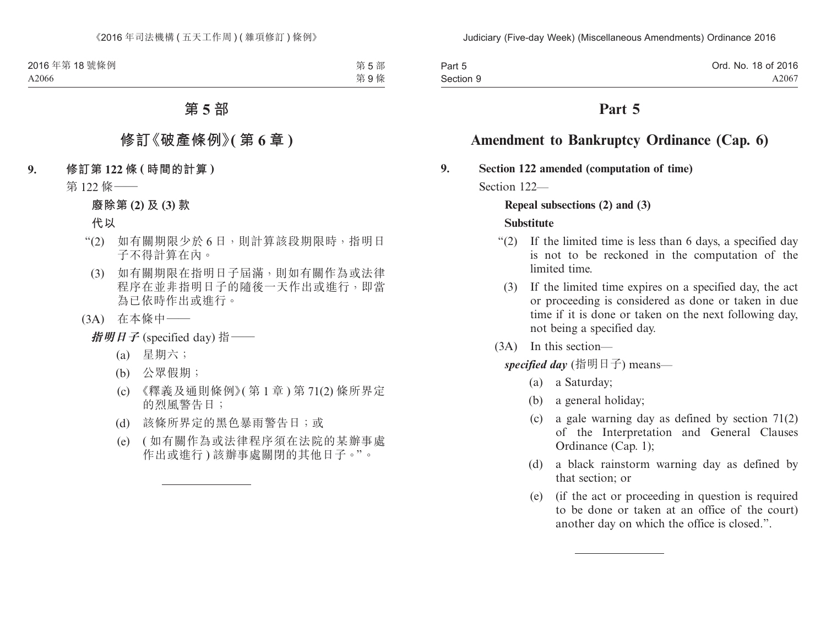| Part 5    | Ord. No. 18 of 2016 |
|-----------|---------------------|
| Section 9 | A2067               |

# **Amendment to Bankruptcy Ordinance (Cap. 6)**

**9. Section 122 amended (computation of time)**

Section 122-

#### **Repeal subsections (2) and (3)**

#### **Substitute**

- "(2) If the limited time is less than 6 days, a specified day is not to be reckoned in the computation of the limited time.
	- (3) If the limited time expires on a specified day, the act or proceeding is considered as done or taken in due time if it is done or taken on the next following day, not being a specified day.
- (3A) In this section—

*specified day* (指明日子) means—

- (a) a Saturday;
- (b) a general holiday;
- (c) a gale warning day as defined by section 71(2) of the Interpretation and General Clauses Ordinance (Cap. 1);
- (d) a black rainstorm warning day as defined by that section; or
- (e) (if the act or proceeding in question is required to be done or taken at an office of the court) another day on which the office is closed.".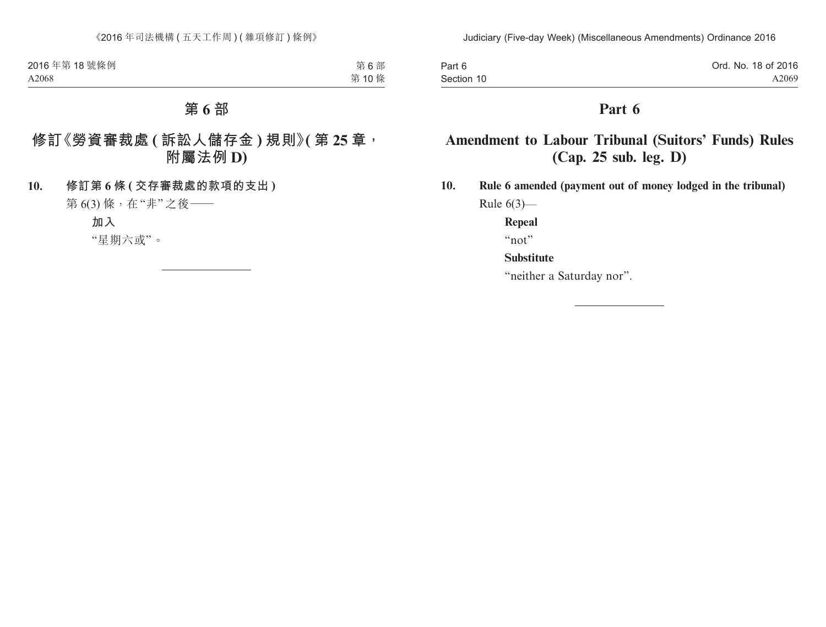| Part 6     | Ord. No. 18 of 2016 |
|------------|---------------------|
| Section 10 | A2069               |

# **Amendment to Labour Tribunal (Suitors' Funds) Rules (Cap. 25 sub. leg. D)**

**10. Rule 6 amended (payment out of money lodged in the tribunal)** Rule  $6(3)$ —

**Repeal**

"not"

### **Substitute**

"neither a Saturday nor".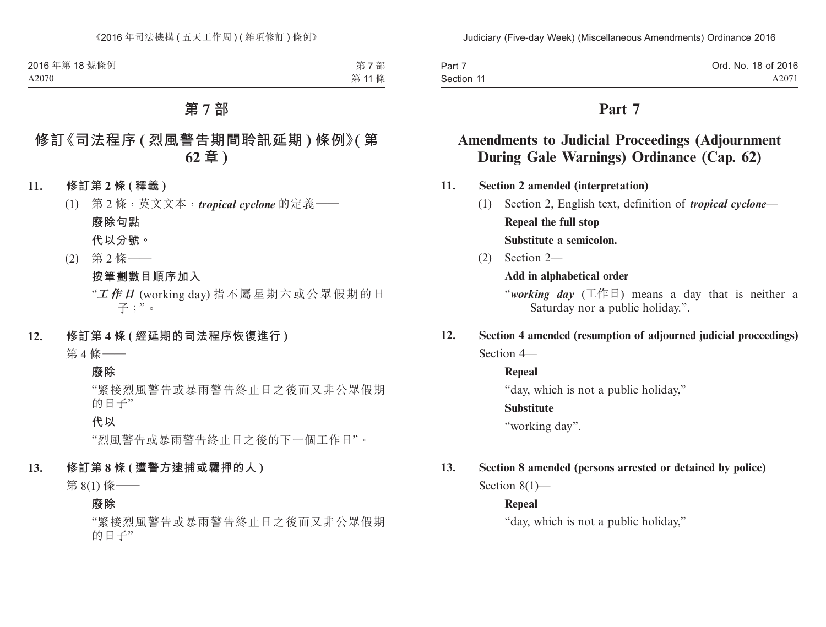| Part 7     | Ord. No. 18 of 2016 |
|------------|---------------------|
| Section 11 | A2071               |

# **Amendments to Judicial Proceedings (Adjournment During Gale Warnings) Ordinance (Cap. 62)**

- **11. Section 2 amended (interpretation)**
	- (1) Section 2, English text, definition of *tropical cyclone* **Repeal the full stop Substitute a semicolon.**
	- (2) Section 2—

**Add in alphabetical order**

"*working day* (工作日) means a day that is neither a Saturday nor a public holiday.".

**12. Section 4 amended (resumption of adjourned judicial proceedings)** Section 4—

**Repeal**

"day, which is not a public holiday,"

### **Substitute**

"working day".

### **13. Section 8 amended (persons arrested or detained by police)**

Section 8(1)—

#### **Repeal**

"day, which is not a public holiday,"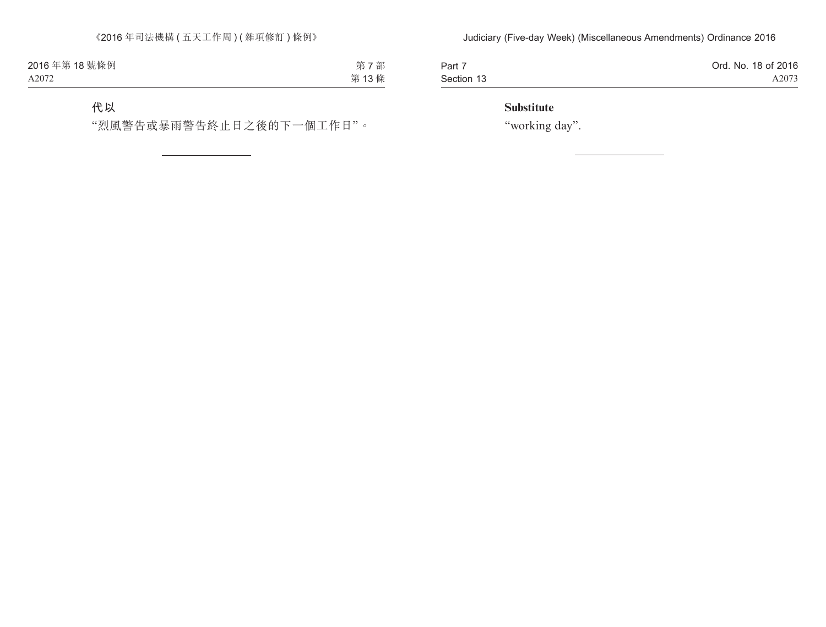| Part 7     | Ord. No. 18 of 2016 |
|------------|---------------------|
| Section 13 | A2073               |

### **Substitute**

"working day".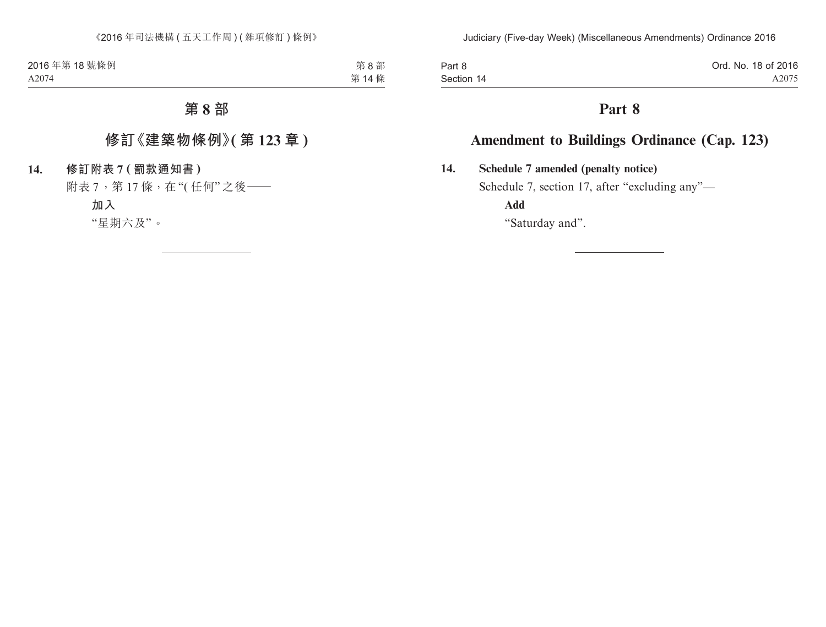Part 8 Section 14

# **Part 8**

# **Amendment to Buildings Ordinance (Cap. 123)**

**14. Schedule 7 amended (penalty notice)**

Schedule 7, section 17, after "excluding any"—

**Add**

"Saturday and".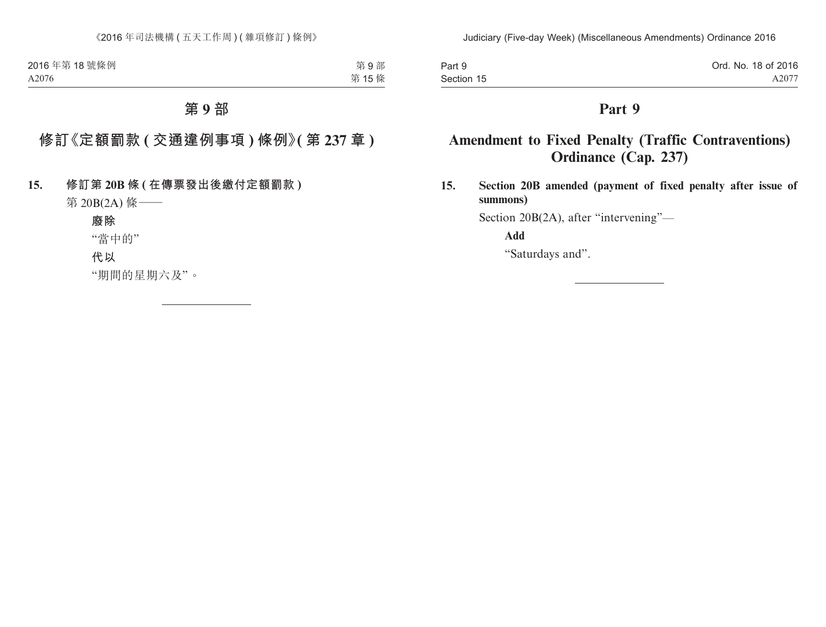| Part 9     | Ord. No. 18 of 2016 |
|------------|---------------------|
| Section 15 | A2077               |

# **Amendment to Fixed Penalty (Traffic Contraventions) Ordinance (Cap. 237)**

**15. Section 20B amended (payment of fixed penalty after issue of summons)**

Section 20B(2A), after "intervening"—

**Add**

"Saturdays and".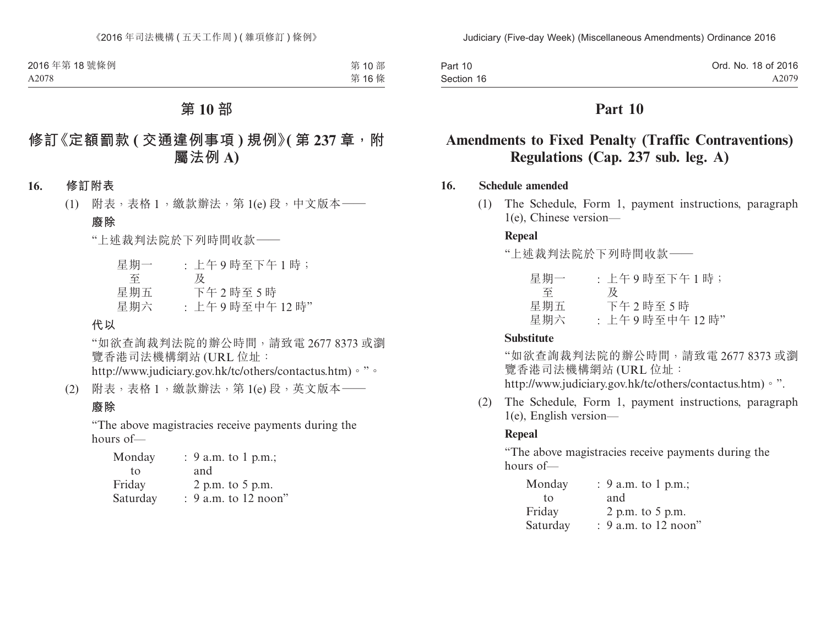| Part 10    | Ord. No. 18 of 2016 |
|------------|---------------------|
| Section 16 | A2079               |

# **Amendments to Fixed Penalty (Traffic Contraventions) Regulations (Cap. 237 sub. leg. A)**

### **16. Schedule amended**

(1) The Schedule, Form 1, payment instructions, paragraph 1(e), Chinese version—

### **Repeal**

"上述裁判法院於下列時間收款——

| 星期一 | : 上午9時至下午1時;  |
|-----|---------------|
| 全   | ₩             |
| 星期五 | 下午2時至5時       |
| 星期六 | : 上午9時至中午12時" |

#### **Substitute**

"如欲查詢裁判法院的辦公時間,請致電 2677 8373 或瀏 覽香港司法機構網站 (URL 位址: http://www.judiciary.gov.hk/tc/others/contactus.htm)。".

(2) The Schedule, Form 1, payment instructions, paragraph 1(e), English version—

#### **Repeal**

"The above magistracies receive payments during the hours of—

| Monday   | : 9 a.m. to 1 p.m.;    |
|----------|------------------------|
| tο       | and                    |
| Friday   | 2 p.m. to 5 p.m.       |
| Saturday | $: 9$ a.m. to 12 noon" |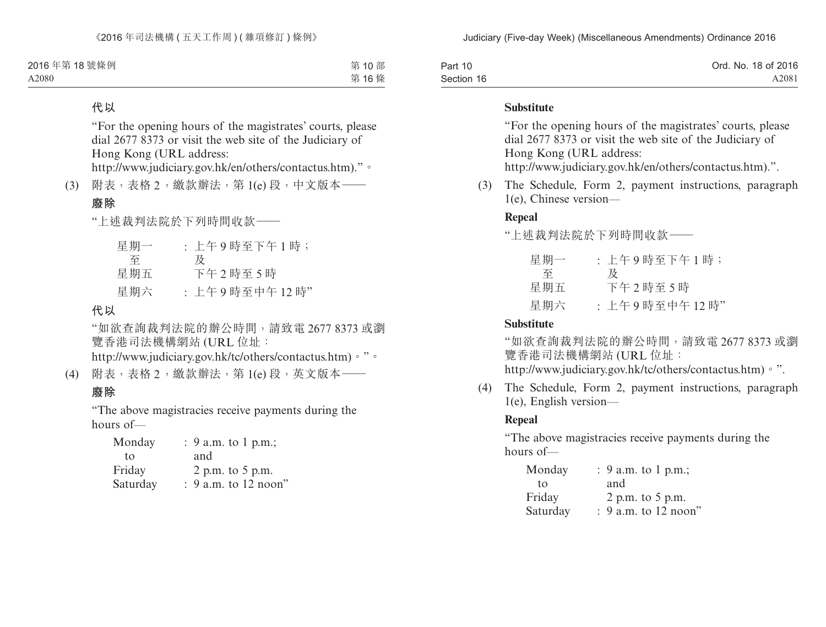| Part 10    | Ord. No. 18 of 2016 |
|------------|---------------------|
| Section 16 | A2081               |

#### **Substitute**

"For the opening hours of the magistrates' courts, please dial 2677 8373 or visit the web site of the Judiciary of Hong Kong (URL address:

http://www.judiciary.gov.hk/en/others/contactus.htm).".

(3) The Schedule, Form 2, payment instructions, paragraph 1(e), Chinese version—

#### **Repeal**

"上述裁判法院於下列時間收款——

| 星期一 | : 上午9時至下午1時;  |
|-----|---------------|
| 至   | 及             |
| 星期五 | 下午2時至5時       |
| 星期六 | : 上午9時至中午12時" |

#### **Substitute**

"如欲查詢裁判法院的辦公時間,請致電 2677 8373 或瀏 覽香港司法機構網站 (URL 位址:

- http://www.judiciary.gov.hk/tc/others/contactus.htm)。".
- (4) The Schedule, Form 2, payment instructions, paragraph 1(e), English version—

#### **Repeal**

"The above magistracies receive payments during the hours of—

| Monday   | : 9 a.m. to 1 p.m.;    |
|----------|------------------------|
| tο       | and                    |
| Friday   | 2 p.m. to 5 p.m.       |
| Saturday | $: 9$ a.m. to 12 noon" |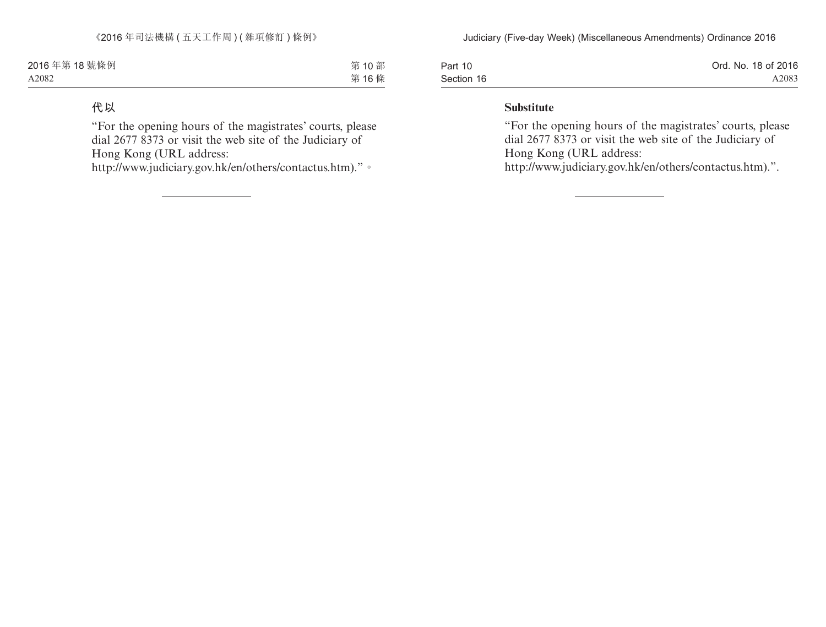| Part 10    | Ord. No. 18 of 2016 |
|------------|---------------------|
| Section 16 | A2083               |

#### **Substitute**

"For the opening hours of the magistrates' courts, please dial 2677 8373 or visit the web site of the Judiciary of Hong Kong (URL address:

http://www.judiciary.gov.hk/en/others/contactus.htm).".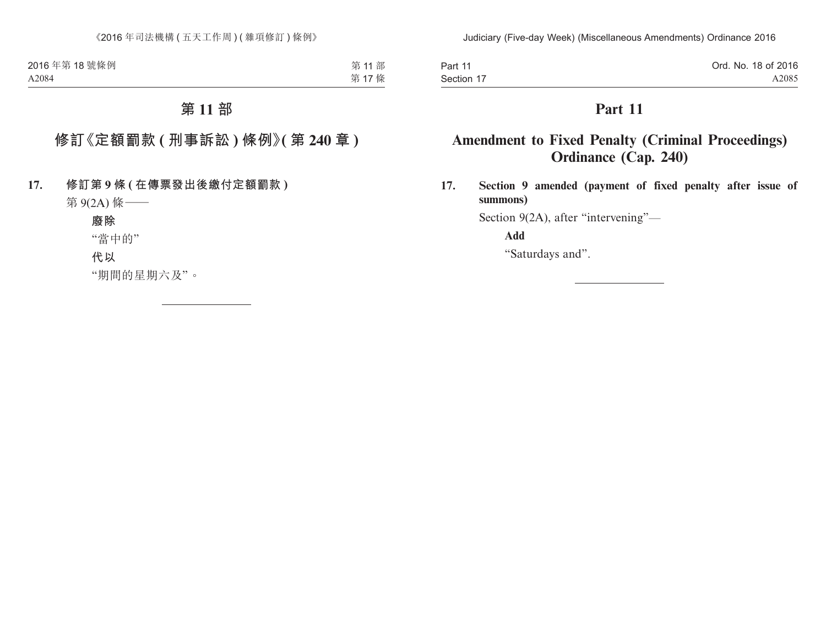| Part 11    | Ord. No. 18 of 2016 |
|------------|---------------------|
| Section 17 | A2085               |

# **Amendment to Fixed Penalty (Criminal Proceedings) Ordinance (Cap. 240)**

**17. Section 9 amended (payment of fixed penalty after issue of summons)**

Section 9(2A), after "intervening"—

**Add**

"Saturdays and".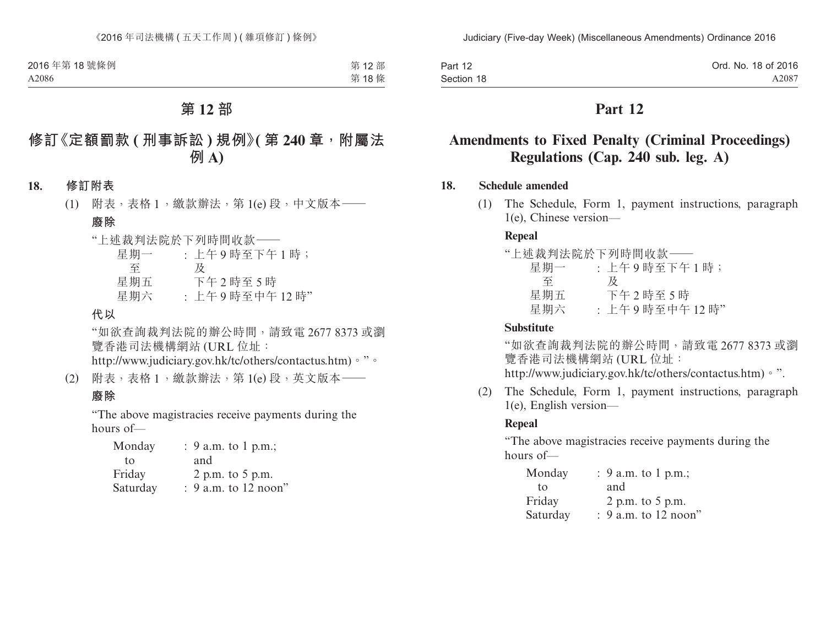| Part 12    | Ord. No. 18 of 2016 |
|------------|---------------------|
| Section 18 | A2087               |

# **Amendments to Fixed Penalty (Criminal Proceedings) Regulations (Cap. 240 sub. leg. A)**

#### **18. Schedule amended**

(1) The Schedule, Form 1, payment instructions, paragraph 1(e), Chinese version—

### **Repeal**

|     | "上述裁判法院於下列時間收款–– |
|-----|------------------|
| 星期一 | : 上午9時至下午1時;     |
| 至   | 及                |
| 星期五 | 下午2時至5時          |
| 星期六 | : 上午9時至中午12時"    |

#### **Substitute**

"如欲查詢裁判法院的辦公時間,請致電 2677 8373 或瀏 覽香港司法機構網站 (URL 位址:

http://www.judiciary.gov.hk/tc/others/contactus.htm)。".

(2) The Schedule, Form 1, payment instructions, paragraph 1(e), English version—

#### **Repeal**

"The above magistracies receive payments during the hours of—

| Monday   | : 9 a.m. to 1 p.m.;    |
|----------|------------------------|
| tο       | and                    |
| Friday   | 2 p.m. to 5 p.m.       |
| Saturday | $: 9$ a.m. to 12 noon" |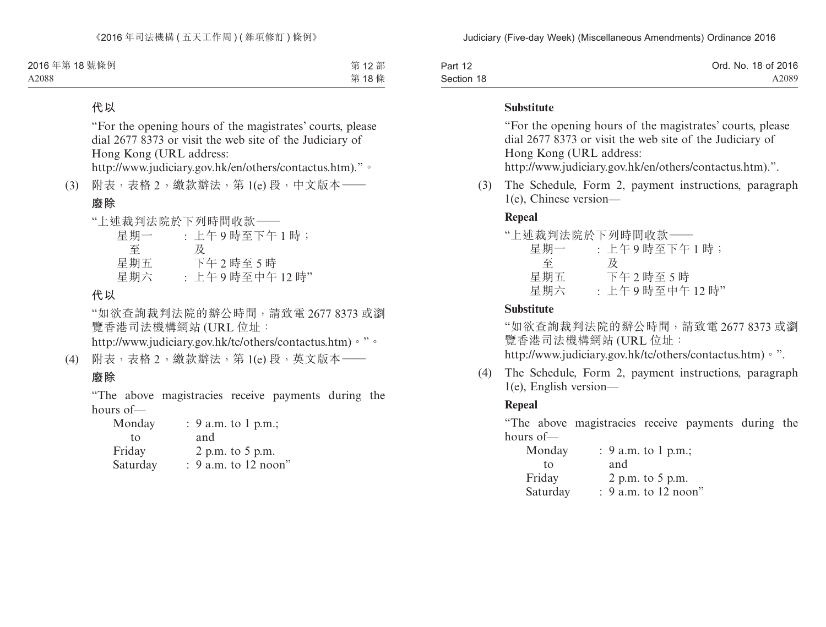| Part 12    | Ord. No. 18 of 2016 |
|------------|---------------------|
| Section 18 | A2089               |

#### **Substitute**

"For the opening hours of the magistrates' courts, please dial 2677 8373 or visit the web site of the Judiciary of Hong Kong (URL address:

http://www.judiciary.gov.hk/en/others/contactus.htm).".

(3) The Schedule, Form 2, payment instructions, paragraph 1(e), Chinese version—

### **Repeal**

|     | "上述裁判法院於下列時間收款–– |
|-----|------------------|
| 星期一 | : 上午9時至下午1時;     |
| 至   | 及                |
| 星期五 | 下午2時至5時          |
| 星期六 | : 上午9時至中午12時"    |

### **Substitute**

"如欲查詢裁判法院的辦公時間,請致電 2677 8373 或瀏 覽香港司法機構網站 (URL 位址: http://www.judiciary.gov.hk/tc/others/contactus.htm)。".

- (4) The Schedule, Form 2, payment instructions, paragraph
	- 1(e), English version—

### **Repeal**

"The above magistracies receive payments during the hours of—

| Monday   | : $9$ a.m. to 1 p.m.;  |
|----------|------------------------|
| tο       | and                    |
| Friday   | 2 p.m. to 5 p.m.       |
| Saturday | $: 9$ a.m. to 12 noon" |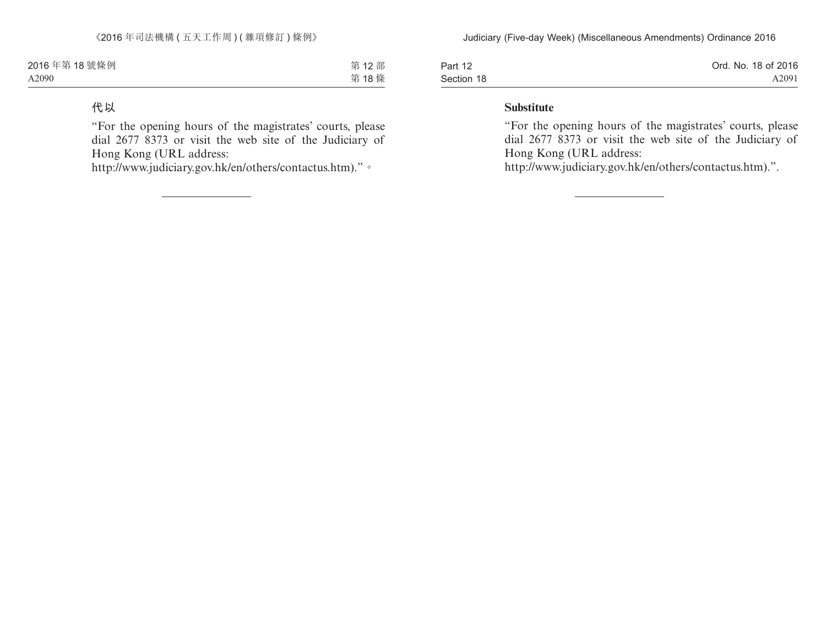| Part 12    | Ord. No. 18 of 2016 |
|------------|---------------------|
| Section 18 | A2091               |

#### **Substitute**

"For the opening hours of the magistrates' courts, please dial 2677 8373 or visit the web site of the Judiciary of Hong Kong (URL address:

http://www.judiciary.gov.hk/en/others/contactus.htm).".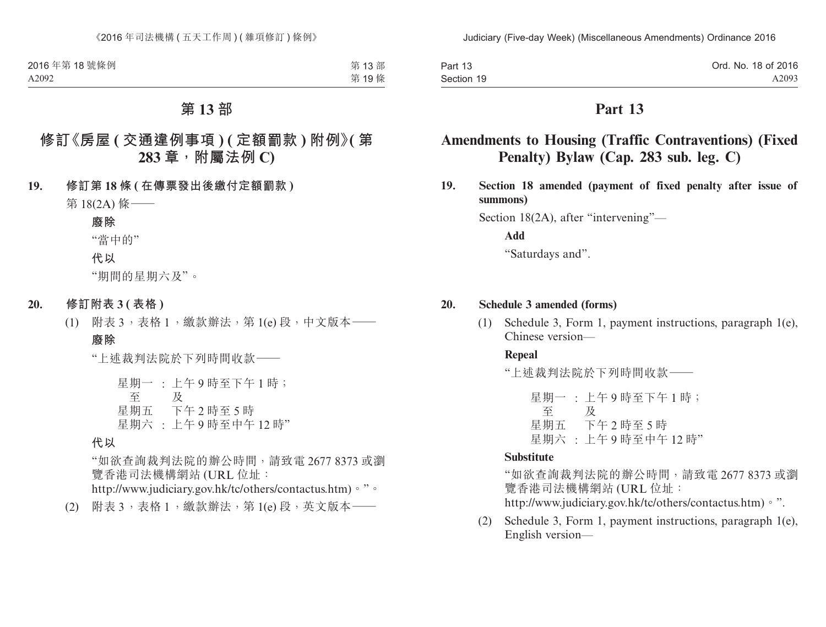| Part 13    | Ord. No. 18 of 2016 |
|------------|---------------------|
| Section 19 | A2093               |

# **Amendments to Housing (Traffic Contraventions) (Fixed Penalty) Bylaw (Cap. 283 sub. leg. C)**

**19. Section 18 amended (payment of fixed penalty after issue of summons)**

Section 18(2A), after "intervening"—

**Add**

"Saturdays and".

#### **20. Schedule 3 amended (forms)**

(1) Schedule 3, Form 1, payment instructions, paragraph 1(e), Chinese version—

#### **Repeal**

"上述裁判法院於下列時間收款——

星期一 : 上午 9 時至下午 1 時; 至 星期五 下午 2 時至 5 時 及 星期六 : 上午 9 時至中午 12 時"

### **Substitute**

"如欲查詢裁判法院的辦公時間,請致電 2677 8373 或瀏 覽香港司法機構網站 (URL 位址: http://www.judiciary.gov.hk/tc/others/contactus.htm)。".

(2) Schedule 3, Form 1, payment instructions, paragraph 1(e), English version—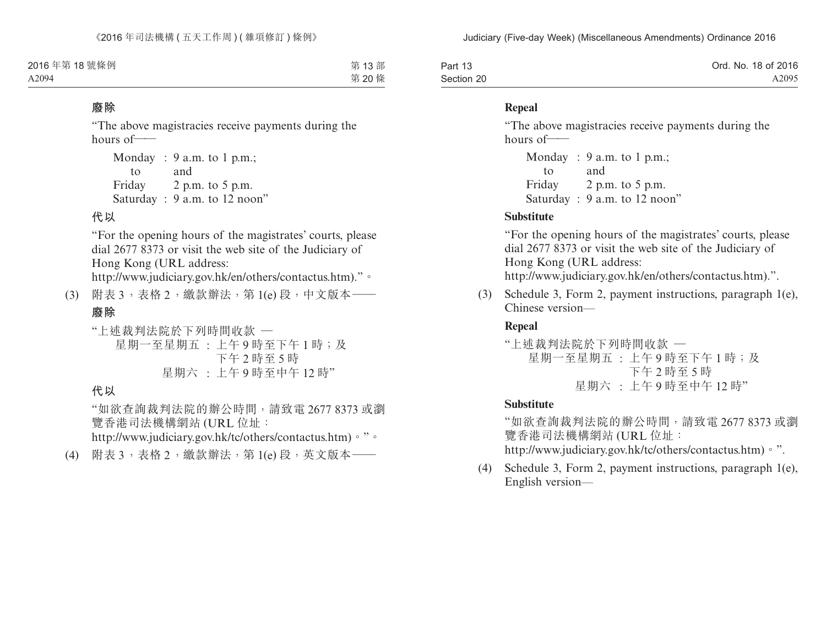| Part 13    | Ord. No. 18 of 2016 |
|------------|---------------------|
| Section 20 | A2095               |

#### **Repeal**

"The above magistracies receive payments during the hours of——

```
Monday
: 9 a.m. to 1 p.m.;
    to
Friday
2 p.m. to 5 p.m.
          and
Saturday : 9 a.m. to 12 noon"
```
### **Substitute**

"For the opening hours of the magistrates' courts, please dial 2677 8373 or visit the web site of the Judiciary of Hong Kong (URL address:

http://www.judiciary.gov.hk/en/others/contactus.htm).".

(3) Schedule 3, Form 2, payment instructions, paragraph 1(e), Chinese version—

### **Repeal**

"上述裁判法院於下列時間收款 — 星期一至星期五 : 上午 9 時至下午 1 時;及 下午 2 時至 5 時 星期六 : 上午 9 時至中午 12 時"

### **Substitute**

"如欲查詢裁判法院的辦公時間,請致電 2677 8373 或瀏 覽香港司法機構網站 (URL 位址: http://www.judiciary.gov.hk/tc/others/contactus.htm)。".

(4) Schedule 3, Form 2, payment instructions, paragraph 1(e), English version—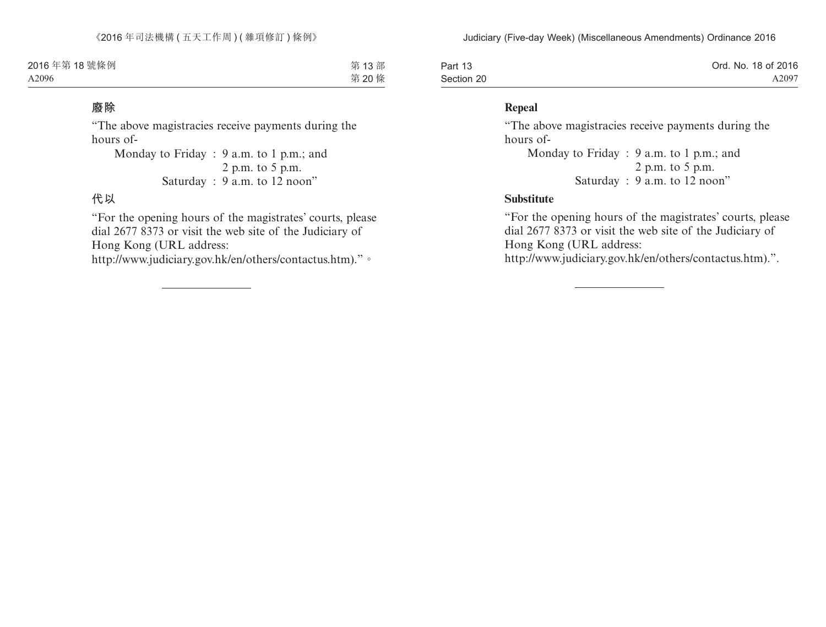| Part 13    | Ord. No. 18 of 2016 |
|------------|---------------------|
| Section 20 | A2097               |

### **Repeal**

"The above magistracies receive payments during the hours of-

Monday to Friday : 9 a.m. to 1 p.m.; and 2 p.m. to 5 p.m. Saturday : 9 a.m. to 12 noon"

#### **Substitute**

"For the opening hours of the magistrates' courts, please dial 2677 8373 or visit the web site of the Judiciary of Hong Kong (URL address:

http://www.judiciary.gov.hk/en/others/contactus.htm).".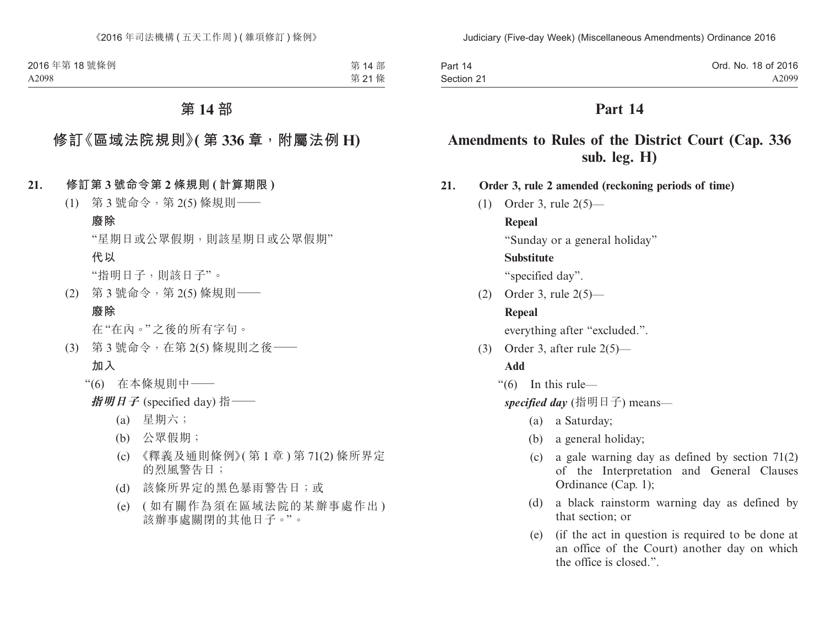| Part 14    | Ord. No. 18 of 2016 |
|------------|---------------------|
| Section 21 | A2099               |

# **Amendments to Rules of the District Court (Cap. 336 sub. leg. H)**

**21. Order 3, rule 2 amended (reckoning periods of time)**

(1) Order 3, rule 2(5)—

#### **Repeal**

"Sunday or a general holiday"

#### **Substitute**

"specified day".

(2) Order 3, rule 2(5)—

#### **Repeal**

everything after "excluded.".

(3) Order 3, after rule 2(5)—

### **Add**

"(6) In this rule—

*specified day* (指明日子) means—

- (a) a Saturday;
- (b) a general holiday;
- (c) a gale warning day as defined by section 71(2) of the Interpretation and General Clauses Ordinance (Cap. 1);
- (d) a black rainstorm warning day as defined by that section; or
- (e) (if the act in question is required to be done at an office of the Court) another day on which the office is closed.".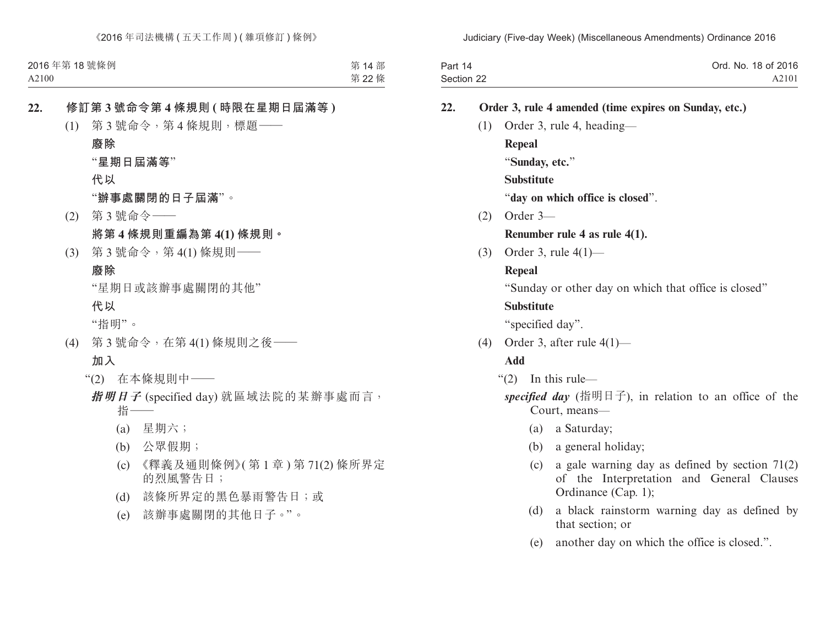| Part 14    | Ord. No. 18 of 2016 |
|------------|---------------------|
| Section 22 | A2101               |

#### **22. Order 3, rule 4 amended (time expires on Sunday, etc.)**

(1) Order 3, rule 4, heading— **Repeal** "**Sunday, etc.**" **Substitute**

"**day on which office is closed**".

(2) Order 3—

### **Renumber rule 4 as rule 4(1).**

(3) Order 3, rule 4(1)—

#### **Repeal**

"Sunday or other day on which that office is closed"

#### **Substitute**

"specified day".

(4) Order 3, after rule 4(1)—

### **Add**

"(2) In this rule—

specified day (指明日子), in relation to an office of the Court, means—

- (a) a Saturday;
- (b) a general holiday;
- (c) a gale warning day as defined by section 71(2) of the Interpretation and General Clauses Ordinance (Cap. 1);
- (d) a black rainstorm warning day as defined by that section; or
- (e) another day on which the office is closed.".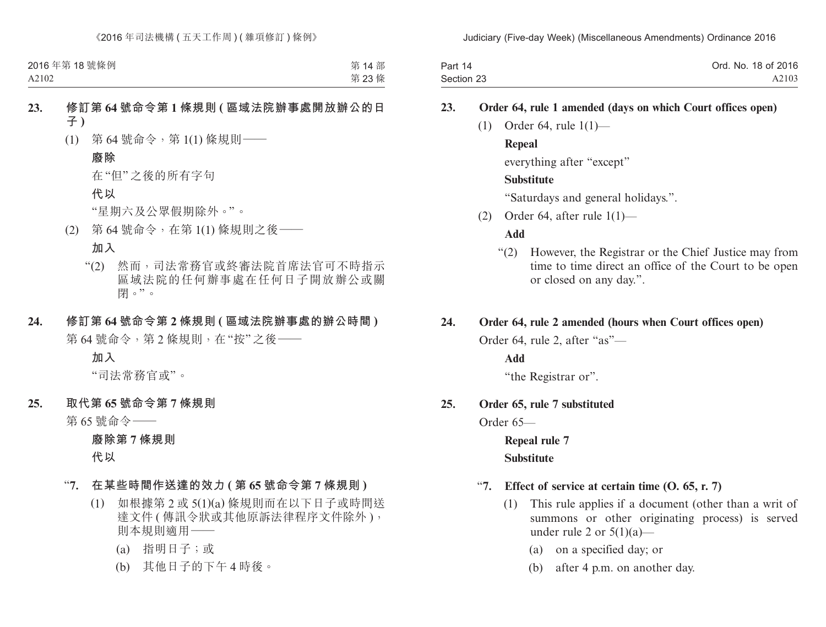| Part 14    | Ord. No. 18 of 2016 |
|------------|---------------------|
| Section 23 | A2103               |

#### **23. Order 64, rule 1 amended (days on which Court offices open)**

(1) Order 64, rule 1(1)—

### **Repeal**

everything after "except"

#### **Substitute**

"Saturdays and general holidays.".

(2) Order 64, after rule  $1(1)$ —

#### **Add**

"(2) However, the Registrar or the Chief Justice may from time to time direct an office of the Court to be open or closed on any day.".

#### **24. Order 64, rule 2 amended (hours when Court offices open)**

Order 64, rule 2, after "as"—

**Add**

"the Registrar or".

#### **25. Order 65, rule 7 substituted**

Order 65—

**Repeal rule 7 Substitute**

### "**7. Effect of service at certain time (O. 65, r. 7)**

- (1) This rule applies if a document (other than a writ of summons or other originating process) is served under rule 2 or  $5(1)(a)$ —
	- (a) on a specified day; or
	- (b) after 4 p.m. on another day.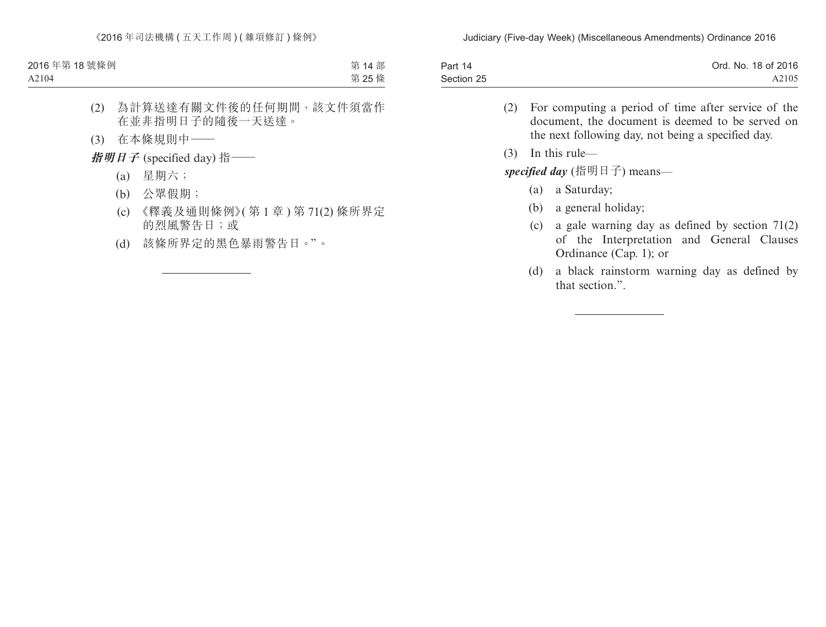| Part 14    | Ord. No. 18 of 2016 |
|------------|---------------------|
| Section 25 | A2105               |

- (2) For computing a period of time after service of the document, the document is deemed to be served on the next following day, not being a specified day.
- (3) In this rule—

*specified day* (指明日子) means—

- (a) a Saturday;
- (b) a general holiday;
- (c) a gale warning day as defined by section 71(2) of the Interpretation and General Clauses Ordinance (Cap. 1); or
- (d) a black rainstorm warning day as defined by that section.".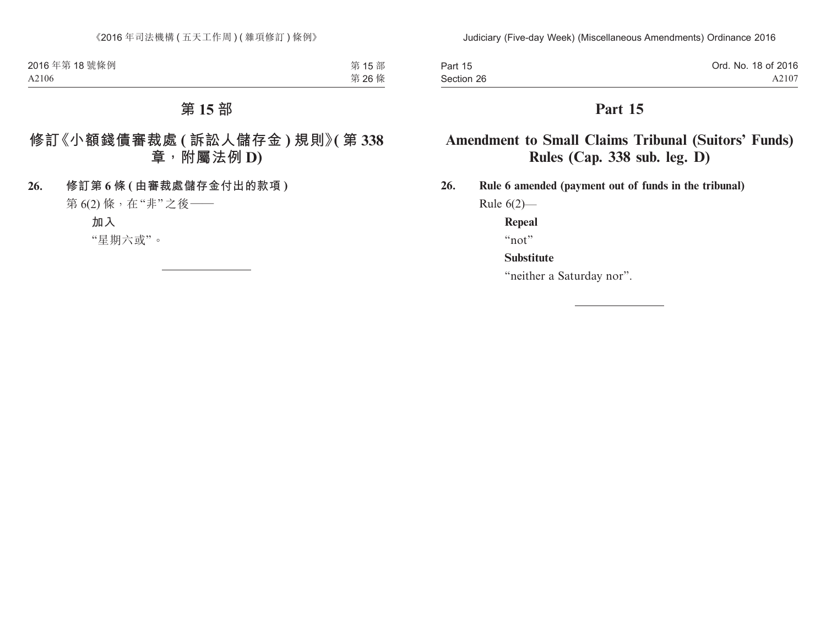| Part 15    | Ord. No. 18 of 2016 |
|------------|---------------------|
| Section 26 | A2107               |

# **Amendment to Small Claims Tribunal (Suitors' Funds) Rules (Cap. 338 sub. leg. D)**

**26. Rule 6 amended (payment out of funds in the tribunal)**

Rule 6(2)—

**Repeal**

"not"

### **Substitute**

"neither a Saturday nor".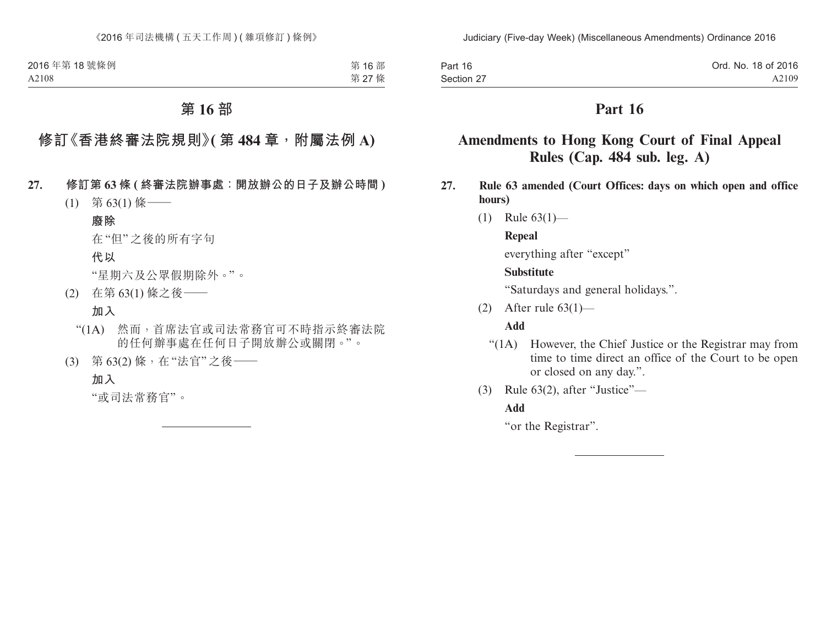| Part 16    | Ord. No. 18 of 2016 |
|------------|---------------------|
| Section 27 | A2109               |

# **Amendments to Hong Kong Court of Final Appeal Rules (Cap. 484 sub. leg. A)**

- **27. Rule 63 amended (Court Offices: days on which open and office hours)**
	- (1) Rule 63(1)—

### **Repeal**

everything after "except"

### **Substitute**

"Saturdays and general holidays.".

(2) After rule 63(1)—

# **Add**

- "(1A) However, the Chief Justice or the Registrar may from time to time direct an office of the Court to be open or closed on any day.".
- (3) Rule 63(2), after "Justice"—

# **Add**

"or the Registrar".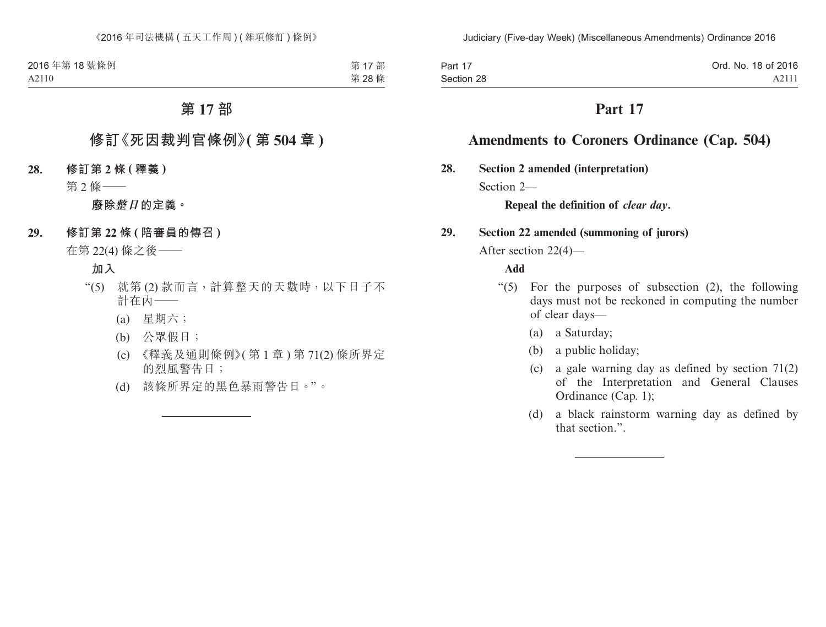| Part 17    | Ord. No. 18 of 2016 |
|------------|---------------------|
| Section 28 | A2111               |

# **Amendments to Coroners Ordinance (Cap. 504)**

**28. Section 2 amended (interpretation)**

Section 2<sub>—</sub>

**Repeal the definition of** *clear day***.**

### **29. Section 22 amended (summoning of jurors)**

After section 22(4)—

#### **Add**

- " $(5)$  For the purposes of subsection  $(2)$ , the following days must not be reckoned in computing the number of clear days—
	- (a) a Saturday;
	- (b) a public holiday;
	- (c) a gale warning day as defined by section 71(2) of the Interpretation and General Clauses Ordinance (Cap. 1);
	- (d) a black rainstorm warning day as defined by that section.".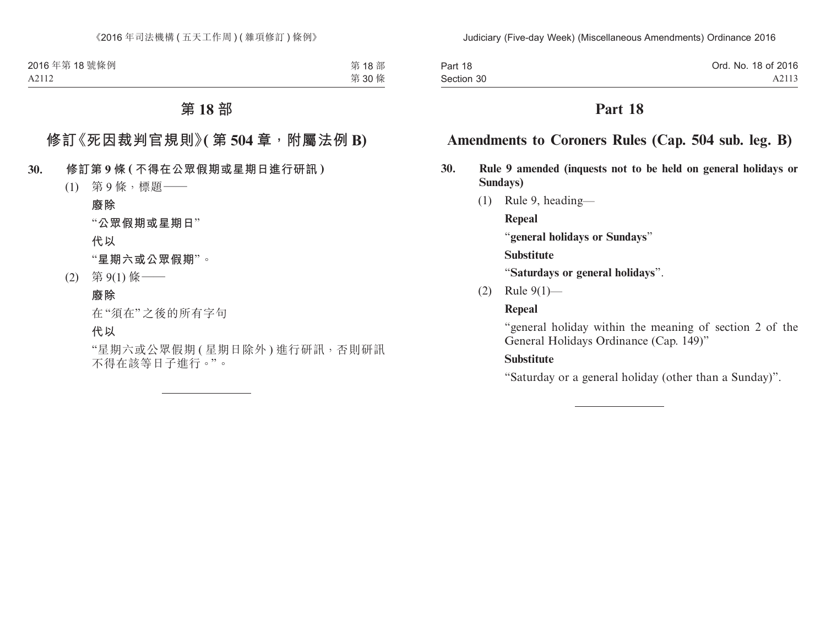| Part 18    | Ord. No. 18 of 2016 |
|------------|---------------------|
| Section 30 | A2113               |

### **Amendments to Coroners Rules (Cap. 504 sub. leg. B)**

- **30. Rule 9 amended (inquests not to be held on general holidays or Sundays)**
	- (1) Rule 9, heading—

**Repeal**

"**general holidays or Sundays**"

**Substitute**

"**Saturdays or general holidays**".

(2) Rule 9(1)—

### **Repeal**

"general holiday within the meaning of section 2 of the General Holidays Ordinance (Cap. 149)"

### **Substitute**

"Saturday or a general holiday (other than a Sunday)".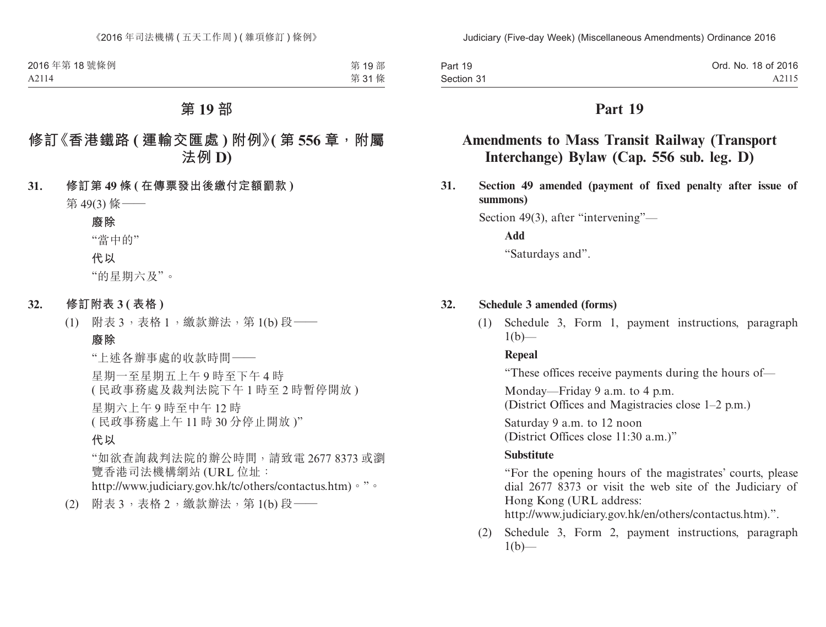| Part 19    | Ord. No. 18 of 2016 |
|------------|---------------------|
| Section 31 | A2115               |

# **Amendments to Mass Transit Railway (Transport Interchange) Bylaw (Cap. 556 sub. leg. D)**

**31. Section 49 amended (payment of fixed penalty after issue of summons)**

Section 49(3), after "intervening"—

**Add**

"Saturdays and".

#### **32. Schedule 3 amended (forms)**

(1) Schedule 3, Form 1, payment instructions, paragraph  $1(b)$ —

#### **Repeal**

"These offices receive payments during the hours of—

Monday—Friday 9 a.m. to 4 p.m. (District Offices and Magistracies close 1–2 p.m.)

Saturday 9 a.m. to 12 noon (District Offices close 11:30 a.m.)"

#### **Substitute**

"For the opening hours of the magistrates' courts, please dial 2677 8373 or visit the web site of the Judiciary of Hong Kong (URL address:

http://www.judiciary.gov.hk/en/others/contactus.htm).".

(2) Schedule 3, Form 2, payment instructions, paragraph  $1(b)$ —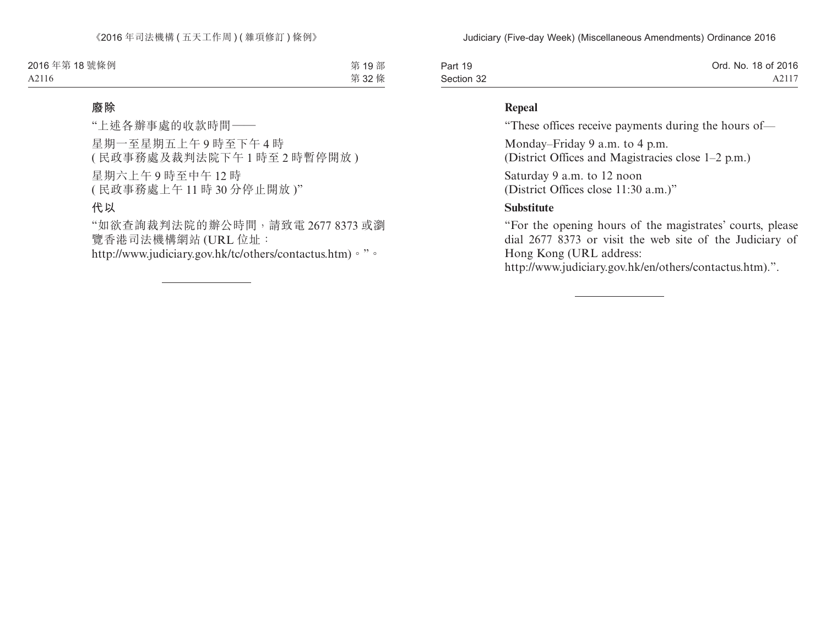| Part 19    | Ord. No. 18 of 2016 |
|------------|---------------------|
| Section 32 | A2117               |

### **Repeal**

"These offices receive payments during the hours of—

Monday–Friday 9 a.m. to 4 p.m.

(District Offices and Magistracies close 1–2 p.m.)

Saturday 9 a.m. to 12 noon (District Offices close 11:30 a.m.)"

### **Substitute**

"For the opening hours of the magistrates' courts, please dial 2677 8373 or visit the web site of the Judiciary of Hong Kong (URL address:

http://www.judiciary.gov.hk/en/others/contactus.htm).".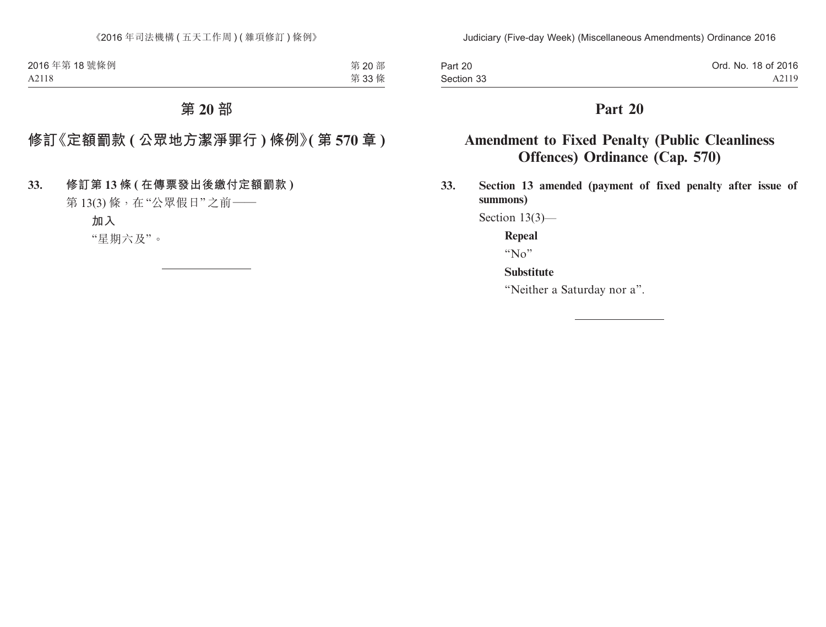| Part 20    | Ord. No. 18 of 2016 |
|------------|---------------------|
| Section 33 | A2119               |

# **Amendment to Fixed Penalty (Public Cleanliness Offences) Ordinance (Cap. 570)**

**33. Section 13 amended (payment of fixed penalty after issue of summons)**

Section 13(3)—

**Repeal**

" $No$ "

**Substitute**

"Neither a Saturday nor a".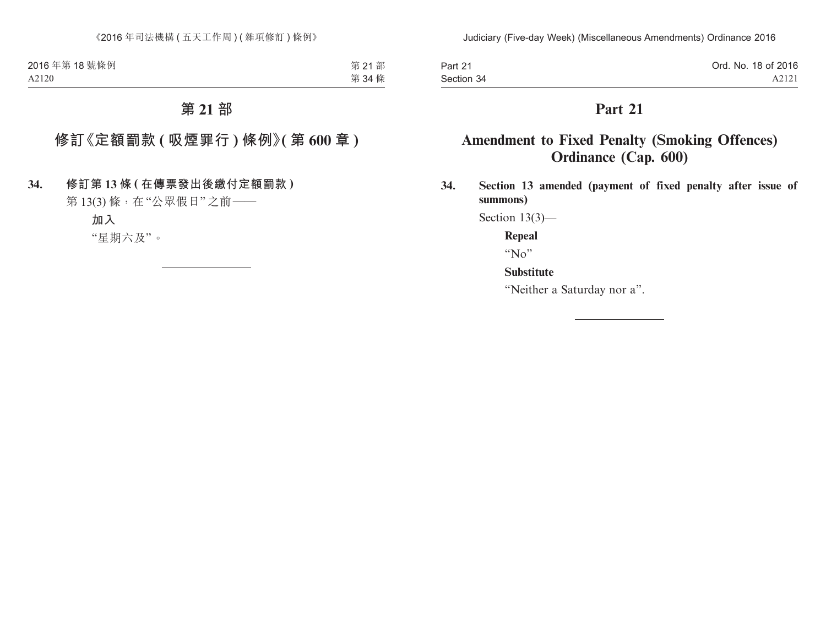| Part 21    | Ord. No. 18 of 2016 |
|------------|---------------------|
| Section 34 | A2121               |

# **Amendment to Fixed Penalty (Smoking Offences) Ordinance (Cap. 600)**

**34. Section 13 amended (payment of fixed penalty after issue of summons)**

Section 13(3)—

**Repeal**

" $No$ "

**Substitute**

"Neither a Saturday nor a".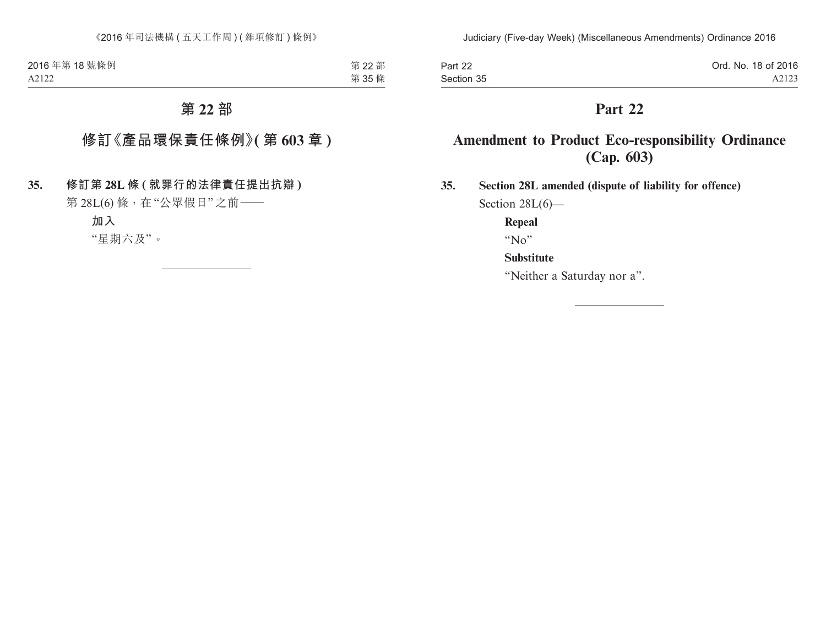| Part 22    | Ord. No. 18 of 2016 |
|------------|---------------------|
| Section 35 | A2123               |

# **Amendment to Product Eco-responsibility Ordinance (Cap. 603)**

**35. Section 28L amended (dispute of liability for offence)** Section 28L(6)—

**Repeal**

" $N_0$ "

### **Substitute**

"Neither a Saturday nor a".